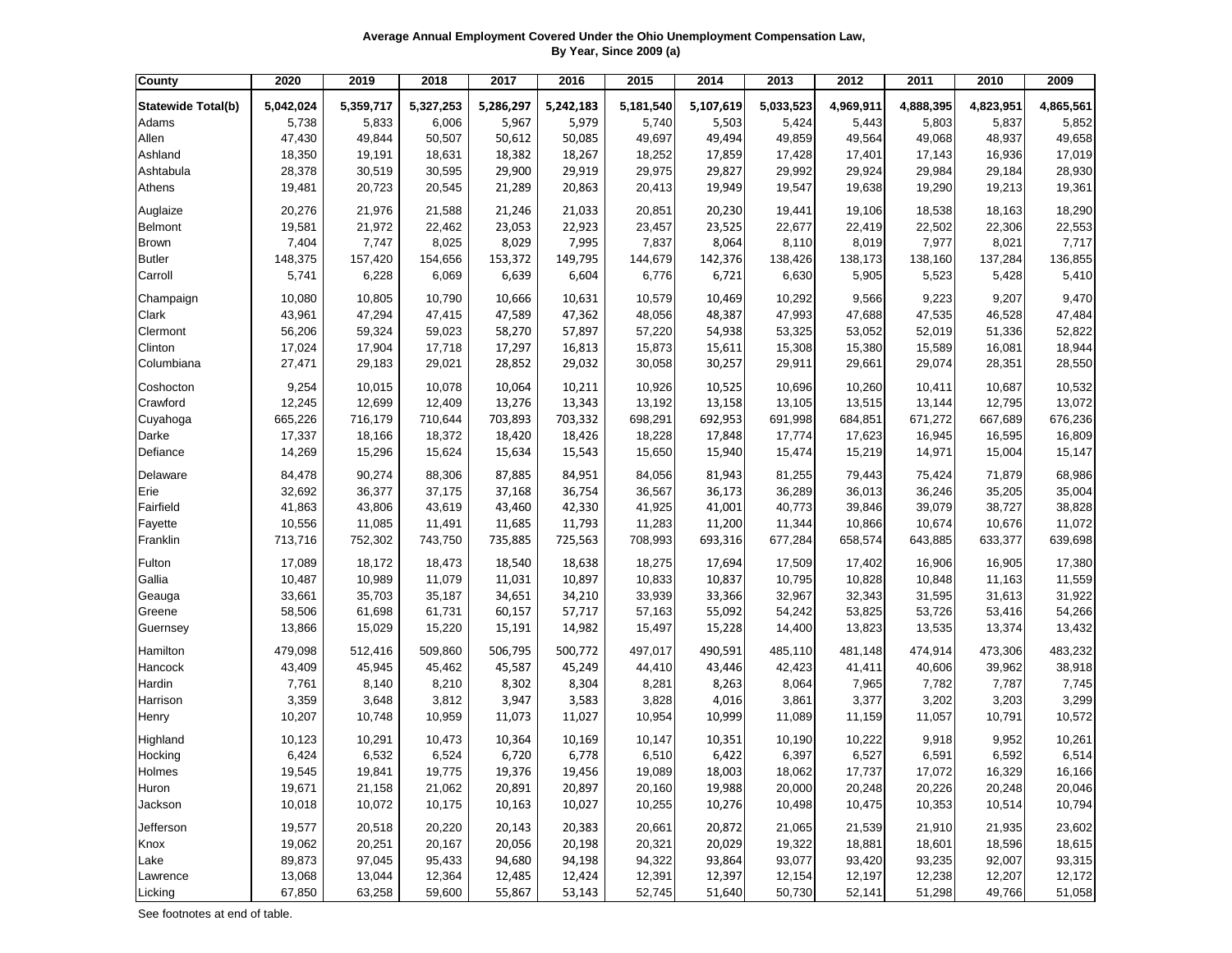| Average Annual Employment Covered Under the Ohio Unemployment Compensation Law, |
|---------------------------------------------------------------------------------|
| By Year, Since 2009 (a)                                                         |

| County                    | 2020      | 2019      | 2018      | 2017      | 2016      | 2015      | 2014      | 2013      | 2012      | 2011      | 2010      | 2009      |
|---------------------------|-----------|-----------|-----------|-----------|-----------|-----------|-----------|-----------|-----------|-----------|-----------|-----------|
| <b>Statewide Total(b)</b> | 5,042,024 | 5,359,717 | 5,327,253 | 5,286,297 | 5,242,183 | 5,181,540 | 5,107,619 | 5,033,523 | 4,969,911 | 4,888,395 | 4,823,951 | 4,865,561 |
| Adams                     | 5,738     | 5,833     | 6,006     | 5,967     | 5,979     | 5,740     | 5,503     | 5,424     | 5,443     | 5,803     | 5,837     | 5,852     |
| Allen                     | 47,430    | 49,844    | 50,507    | 50,612    | 50,085    | 49,697    | 49,494    | 49,859    | 49,564    | 49,068    | 48,937    | 49,658    |
| Ashland                   | 18,350    | 19,191    | 18,631    | 18,382    | 18,267    | 18,252    | 17,859    | 17,428    | 17,401    | 17,143    | 16,936    | 17,019    |
| Ashtabula                 | 28,378    | 30,519    | 30,595    | 29,900    | 29,919    | 29,975    | 29,827    | 29,992    | 29,924    | 29,984    | 29,184    | 28,930    |
| Athens                    | 19,481    | 20,723    | 20,545    | 21,289    | 20,863    | 20,413    | 19,949    | 19,547    | 19,638    | 19,290    | 19,213    | 19,361    |
| Auglaize                  | 20,276    | 21,976    | 21,588    | 21,246    | 21,033    | 20,851    | 20,230    | 19,441    | 19,106    | 18,538    | 18,163    | 18,290    |
| Belmont                   | 19,581    | 21,972    | 22,462    | 23,053    | 22,923    | 23,457    | 23,525    | 22,677    | 22,419    | 22,502    | 22,306    | 22,553    |
| <b>Brown</b>              | 7,404     | 7,747     | 8,025     | 8,029     | 7,995     | 7,837     | 8,064     | 8,110     | 8,019     | 7,977     | 8,021     | 7,717     |
| <b>Butler</b>             | 148,375   | 157,420   | 154,656   | 153,372   | 149,795   | 144,679   | 142,376   | 138,426   | 138,173   | 138,160   | 137,284   | 136,855   |
| Carroll                   | 5,741     | 6,228     | 6,069     | 6,639     | 6,604     | 6,776     | 6,721     | 6,630     | 5,905     | 5,523     | 5,428     | 5,410     |
|                           |           |           |           |           |           |           |           |           |           |           |           |           |
| Champaign                 | 10,080    | 10,805    | 10,790    | 10,666    | 10,631    | 10,579    | 10,469    | 10,292    | 9,566     | 9,223     | 9,207     | 9,470     |
| Clark                     | 43,961    | 47,294    | 47,415    | 47,589    | 47,362    | 48,056    | 48,387    | 47,993    | 47,688    | 47,535    | 46,528    | 47,484    |
| Clermont                  | 56,206    | 59,324    | 59,023    | 58,270    | 57,897    | 57,220    | 54,938    | 53,325    | 53,052    | 52,019    | 51,336    | 52,822    |
| Clinton                   | 17,024    | 17,904    | 17,718    | 17,297    | 16,813    | 15,873    | 15,611    | 15,308    | 15,380    | 15,589    | 16,081    | 18,944    |
| Columbiana                | 27,471    | 29,183    | 29,021    | 28,852    | 29,032    | 30,058    | 30,257    | 29,911    | 29,661    | 29,074    | 28,351    | 28,550    |
| Coshocton                 | 9,254     | 10,015    | 10,078    | 10,064    | 10,211    | 10,926    | 10,525    | 10,696    | 10,260    | 10,411    | 10,687    | 10,532    |
| Crawford                  | 12,245    | 12,699    | 12,409    | 13,276    | 13,343    | 13,192    | 13,158    | 13,105    | 13,515    | 13,144    | 12,795    | 13,072    |
| Cuyahoga                  | 665,226   | 716,179   | 710,644   | 703,893   | 703,332   | 698,291   | 692,953   | 691,998   | 684,851   | 671,272   | 667,689   | 676,236   |
| Darke                     | 17,337    | 18,166    | 18,372    | 18,420    | 18,426    | 18,228    | 17,848    | 17,774    | 17,623    | 16,945    | 16,595    | 16,809    |
| Defiance                  | 14,269    | 15,296    | 15,624    | 15,634    | 15,543    | 15,650    | 15,940    | 15,474    | 15,219    | 14,971    | 15,004    | 15,147    |
| Delaware                  | 84,478    | 90,274    | 88,306    | 87,885    | 84,951    | 84,056    | 81,943    | 81,255    | 79,443    | 75,424    | 71,879    | 68,986    |
| Erie                      | 32,692    | 36,377    | 37,175    | 37,168    | 36,754    | 36,567    | 36,173    | 36,289    | 36,013    | 36,246    | 35,205    | 35,004    |
| Fairfield                 | 41,863    | 43,806    | 43,619    | 43,460    | 42,330    | 41,925    | 41,001    | 40,773    | 39,846    | 39,079    | 38,727    | 38,828    |
| Fayette                   | 10,556    | 11,085    | 11,491    | 11,685    | 11,793    | 11,283    | 11,200    | 11,344    | 10,866    | 10,674    | 10,676    | 11,072    |
| Franklin                  | 713,716   | 752,302   | 743,750   | 735,885   | 725,563   | 708,993   | 693,316   | 677,284   | 658,574   | 643,885   | 633,377   | 639,698   |
|                           |           |           |           |           |           |           |           |           |           |           |           |           |
| Fulton                    | 17,089    | 18,172    | 18,473    | 18,540    | 18,638    | 18,275    | 17,694    | 17,509    | 17,402    | 16,906    | 16,905    | 17,380    |
| Gallia                    | 10,487    | 10,989    | 11,079    | 11,031    | 10,897    | 10,833    | 10,837    | 10,795    | 10,828    | 10,848    | 11,163    | 11,559    |
| Geauga                    | 33,661    | 35,703    | 35,187    | 34,651    | 34,210    | 33,939    | 33,366    | 32,967    | 32,343    | 31,595    | 31,613    | 31,922    |
| Greene                    | 58,506    | 61,698    | 61,731    | 60,157    | 57,717    | 57,163    | 55,092    | 54,242    | 53,825    | 53,726    | 53,416    | 54,266    |
| Guernsey                  | 13,866    | 15,029    | 15,220    | 15,191    | 14,982    | 15,497    | 15,228    | 14,400    | 13,823    | 13,535    | 13,374    | 13,432    |
| Hamilton                  | 479,098   | 512,416   | 509,860   | 506,795   | 500,772   | 497,017   | 490,591   | 485,110   | 481,148   | 474,914   | 473,306   | 483,232   |
| Hancock                   | 43,409    | 45,945    | 45,462    | 45,587    | 45,249    | 44,410    | 43,446    | 42,423    | 41,411    | 40,606    | 39,962    | 38,918    |
| Hardin                    | 7,761     | 8,140     | 8,210     | 8,302     | 8,304     | 8,281     | 8,263     | 8,064     | 7,965     | 7,782     | 7,787     | 7,745     |
| Harrison                  | 3,359     | 3,648     | 3,812     | 3,947     | 3,583     | 3,828     | 4,016     | 3,861     | 3,377     | 3,202     | 3,203     | 3,299     |
| Henry                     | 10,207    | 10,748    | 10,959    | 11,073    | 11,027    | 10,954    | 10,999    | 11,089    | 11,159    | 11,057    | 10,791    | 10,572    |
| Highland                  | 10,123    | 10,291    | 10,473    | 10,364    | 10,169    | 10,147    | 10,351    | 10,190    | 10,222    | 9,918     | 9,952     | 10,261    |
| Hocking                   | 6,424     | 6,532     | 6,524     | 6,720     | 6,778     | 6,510     | 6,422     | 6,397     | 6,527     | 6,591     | 6,592     | 6,514     |
| Holmes                    | 19,545    | 19,841    | 19,775    | 19,376    | 19,456    | 19,089    | 18,003    | 18,062    | 17,737    | 17,072    | 16,329    | 16,166    |
| Huron                     | 19,671    | 21,158    | 21,062    | 20,891    | 20,897    | 20,160    | 19,988    | 20,000    | 20,248    | 20,226    | 20,248    | 20,046    |
| Jackson                   | 10,018    | 10,072    | 10,175    | 10,163    | 10,027    | 10,255    | 10,276    | 10,498    | 10,475    | 10,353    | 10,514    | 10,794    |
| Jefferson                 | 19,577    | 20,518    | 20,220    | 20,143    | 20,383    | 20,661    | 20,872    | 21,065    | 21,539    | 21,910    | 21,935    | 23,602    |
| Knox                      | 19,062    | 20,251    | 20,167    | 20,056    | 20,198    | 20,321    | 20,029    | 19,322    | 18,881    | 18,601    | 18,596    | 18,615    |
| Lake                      | 89,873    | 97,045    | 95,433    | 94,680    | 94,198    | 94,322    | 93,864    | 93,077    | 93,420    | 93,235    | 92,007    | 93,315    |
| Lawrence                  | 13,068    | 13,044    | 12,364    | 12,485    | 12,424    | 12,391    | 12,397    | 12,154    | 12,197    | 12,238    | 12,207    | 12,172    |
| Licking                   | 67,850    | 63,258    | 59,600    | 55,867    | 53,143    | 52,745    | 51,640    | 50,730    | 52,141    | 51,298    | 49,766    | 51,058    |

See footnotes at end of table.